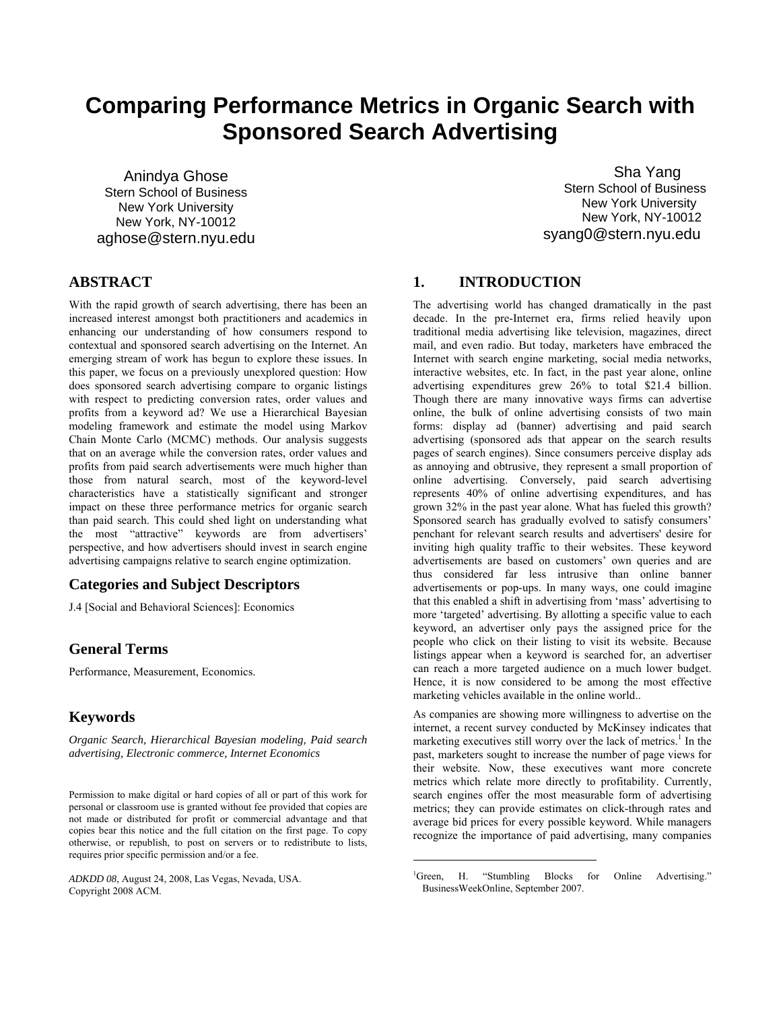# **Comparing Performance Metrics in Organic Search with Sponsored Search Advertising**

Anindya Ghose Stern School of Business New York University New York, NY-10012 aghose@stern.nyu.edu

Sha Yang Stern School of Business New York University New York, NY-10012 syang0@stern.nyu.edu

# **ABSTRACT**

With the rapid growth of search advertising, there has been an increased interest amongst both practitioners and academics in enhancing our understanding of how consumers respond to contextual and sponsored search advertising on the Internet. An emerging stream of work has begun to explore these issues. In this paper, we focus on a previously unexplored question: How does sponsored search advertising compare to organic listings with respect to predicting conversion rates, order values and profits from a keyword ad? We use a Hierarchical Bayesian modeling framework and estimate the model using Markov Chain Monte Carlo (MCMC) methods. Our analysis suggests that on an average while the conversion rates, order values and profits from paid search advertisements were much higher than those from natural search, most of the keyword-level characteristics have a statistically significant and stronger impact on these three performance metrics for organic search than paid search. This could shed light on understanding what the most "attractive" keywords are from advertisers' perspective, and how advertisers should invest in search engine advertising campaigns relative to search engine optimization.

### **Categories and Subject Descriptors**

J.4 [Social and Behavioral Sciences]: Economics

### **General Terms**

Performance, Measurement, Economics.

#### **Keywords**

*Organic Search, Hierarchical Bayesian modeling, Paid search advertising, Electronic commerce, Internet Economics* 

Permission to make digital or hard copies of all or part of this work for personal or classroom use is granted without fee provided that copies are not made or distributed for profit or commercial advantage and that copies bear this notice and the full citation on the first page. To copy otherwise, or republish, to post on servers or to redistribute to lists, requires prior specific permission and/or a fee.

*ADKDD 08*, August 24, 2008, Las Vegas, Nevada, USA. Copyright 2008 ACM.

# **1. INTRODUCTION**

The advertising world has changed dramatically in the past decade. In the pre-Internet era, firms relied heavily upon traditional media advertising like television, magazines, direct mail, and even radio. But today, marketers have embraced the Internet with search engine marketing, social media networks, interactive websites, etc. In fact, in the past year alone, online advertising expenditures grew 26% to total \$21.4 billion. Though there are many innovative ways firms can advertise online, the bulk of online advertising consists of two main forms: display ad (banner) advertising and paid search advertising (sponsored ads that appear on the search results pages of search engines). Since consumers perceive display ads as annoying and obtrusive, they represent a small proportion of online advertising. Conversely, paid search advertising represents 40% of online advertising expenditures, and has grown 32% in the past year alone. What has fueled this growth? Sponsored search has gradually evolved to satisfy consumers' penchant for relevant search results and advertisers' desire for inviting high quality traffic to their websites. These keyword advertisements are based on customers' own queries and are thus considered far less intrusive than online banner advertisements or pop-ups. In many ways, one could imagine that this enabled a shift in advertising from 'mass' advertising to more 'targeted' advertising. By allotting a specific value to each keyword, an advertiser only pays the assigned price for the people who click on their listing to visit its website. Because listings appear when a keyword is searched for, an advertiser can reach a more targeted audience on a much lower budget. Hence, it is now considered to be among the most effective marketing vehicles available in the online world..

As companies are showing more willingness to advertise on the internet, a recent survey conducted by McKinsey indicates that marketing executives still worry over the lack of metrics.<sup>1</sup> In the past, marketers sought to increase the number of page views for their website. Now, these executives want more concrete metrics which relate more directly to profitability. Currently, search engines offer the most measurable form of advertising metrics; they can provide estimates on click-through rates and average bid prices for every possible keyword. While managers recognize the importance of paid advertising, many companies

1

<sup>&</sup>lt;sup>1</sup>Green, H. "Stumbling Blocks for Online Advertising." BusinessWeekOnline, September 2007.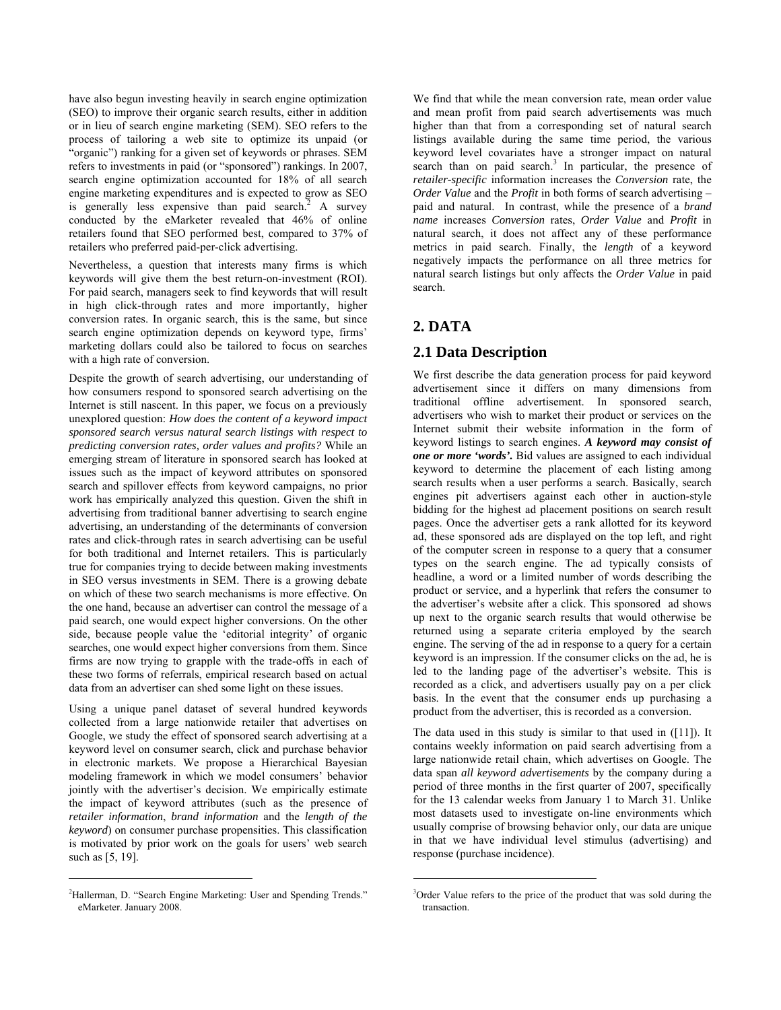have also begun investing heavily in search engine optimization (SEO) to improve their organic search results, either in addition or in lieu of search engine marketing (SEM). SEO refers to the process of tailoring a web site to optimize its unpaid (or "organic") ranking for a given set of keywords or phrases. SEM refers to investments in paid (or "sponsored") rankings. In 2007, search engine optimization accounted for 18% of all search engine marketing expenditures and is expected to grow as SEO is generally less expensive than paid search.<sup>2</sup> A survey conducted by the eMarketer revealed that 46% of online retailers found that SEO performed best, compared to 37% of retailers who preferred paid-per-click advertising.

Nevertheless, a question that interests many firms is which keywords will give them the best return-on-investment (ROI). For paid search, managers seek to find keywords that will result in high click-through rates and more importantly, higher conversion rates. In organic search, this is the same, but since search engine optimization depends on keyword type, firms' marketing dollars could also be tailored to focus on searches with a high rate of conversion.

Despite the growth of search advertising, our understanding of how consumers respond to sponsored search advertising on the Internet is still nascent. In this paper, we focus on a previously unexplored question: *How does the content of a keyword impact sponsored search versus natural search listings with respect to predicting conversion rates, order values and profits?* While an emerging stream of literature in sponsored search has looked at issues such as the impact of keyword attributes on sponsored search and spillover effects from keyword campaigns, no prior work has empirically analyzed this question. Given the shift in advertising from traditional banner advertising to search engine advertising, an understanding of the determinants of conversion rates and click-through rates in search advertising can be useful for both traditional and Internet retailers. This is particularly true for companies trying to decide between making investments in SEO versus investments in SEM. There is a growing debate on which of these two search mechanisms is more effective. On the one hand, because an advertiser can control the message of a paid search, one would expect higher conversions. On the other side, because people value the 'editorial integrity' of organic searches, one would expect higher conversions from them. Since firms are now trying to grapple with the trade-offs in each of these two forms of referrals, empirical research based on actual data from an advertiser can shed some light on these issues.

Using a unique panel dataset of several hundred keywords collected from a large nationwide retailer that advertises on Google, we study the effect of sponsored search advertising at a keyword level on consumer search, click and purchase behavior in electronic markets. We propose a Hierarchical Bayesian modeling framework in which we model consumers' behavior jointly with the advertiser's decision. We empirically estimate the impact of keyword attributes (such as the presence of *retailer information*, *brand information* and the *length of the keyword*) on consumer purchase propensities. This classification is motivated by prior work on the goals for users' web search such as [5, 19].

 $\overline{a}$ 

We find that while the mean conversion rate, mean order value and mean profit from paid search advertisements was much higher than that from a corresponding set of natural search listings available during the same time period, the various keyword level covariates have a stronger impact on natural search than on paid search.<sup>3</sup> In particular, the presence of *retailer-specific* information increases the *Conversion* rate, the *Order Value* and the *Profit* in both forms of search advertising – paid and natural. In contrast, while the presence of a *brand name* increases *Conversion* rates, *Order Value* and *Profit* in natural search, it does not affect any of these performance metrics in paid search. Finally, the *length* of a keyword negatively impacts the performance on all three metrics for natural search listings but only affects the *Order Value* in paid search.

# **2. DATA**

 $\overline{a}$ 

# **2.1 Data Description**

We first describe the data generation process for paid keyword advertisement since it differs on many dimensions from traditional offline advertisement. In sponsored search, advertisers who wish to market their product or services on the Internet submit their website information in the form of keyword listings to search engines. *A keyword may consist of one or more 'words'.* Bid values are assigned to each individual keyword to determine the placement of each listing among search results when a user performs a search. Basically, search engines pit advertisers against each other in auction-style bidding for the highest ad placement positions on search result pages. Once the advertiser gets a rank allotted for its keyword ad, these sponsored ads are displayed on the top left, and right of the computer screen in response to a query that a consumer types on the search engine. The ad typically consists of headline, a word or a limited number of words describing the product or service, and a hyperlink that refers the consumer to the advertiser's website after a click. This sponsored ad shows up next to the organic search results that would otherwise be returned using a separate criteria employed by the search engine. The serving of the ad in response to a query for a certain keyword is an impression. If the consumer clicks on the ad, he is led to the landing page of the advertiser's website. This is recorded as a click, and advertisers usually pay on a per click basis. In the event that the consumer ends up purchasing a product from the advertiser, this is recorded as a conversion.

The data used in this study is similar to that used in ([11]). It contains weekly information on paid search advertising from a large nationwide retail chain, which advertises on Google. The data span *all keyword advertisements* by the company during a period of three months in the first quarter of 2007, specifically for the 13 calendar weeks from January 1 to March 31. Unlike most datasets used to investigate on-line environments which usually comprise of browsing behavior only, our data are unique in that we have individual level stimulus (advertising) and response (purchase incidence).

<sup>&</sup>lt;sup>2</sup>Hallerman, D. "Search Engine Marketing: User and Spending Trends." eMarketer. January 2008.

<sup>&</sup>lt;sup>3</sup>Order Value refers to the price of the product that was sold during the transaction.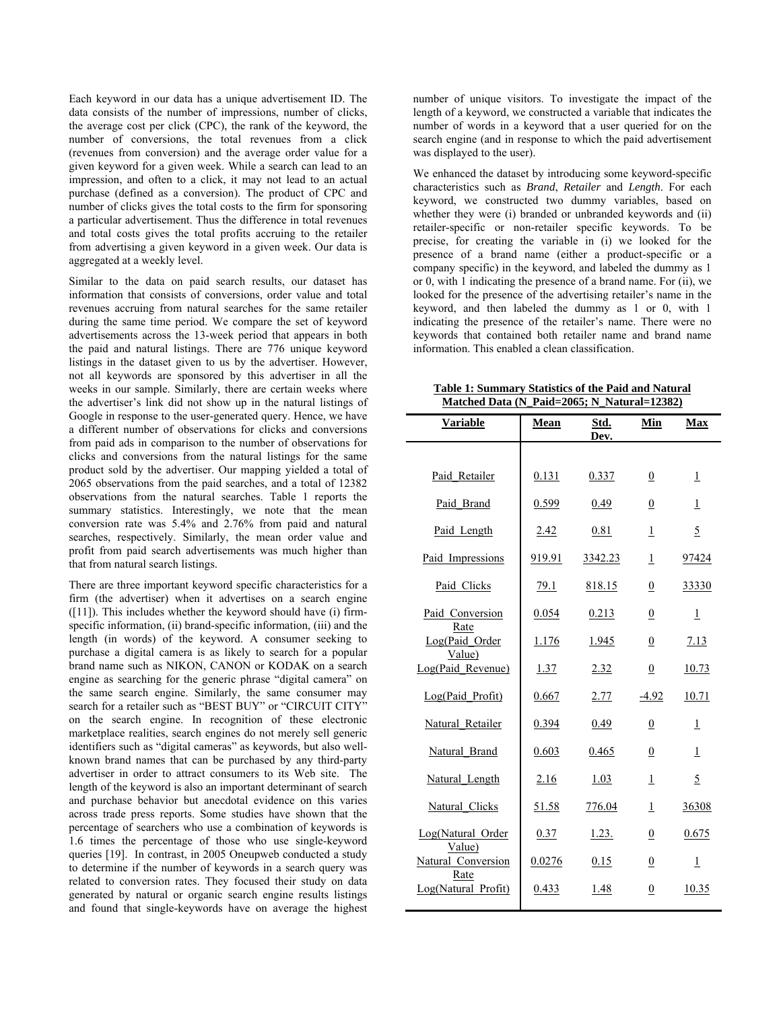Each keyword in our data has a unique advertisement ID. The data consists of the number of impressions, number of clicks, the average cost per click (CPC), the rank of the keyword, the number of conversions, the total revenues from a click (revenues from conversion) and the average order value for a given keyword for a given week. While a search can lead to an impression, and often to a click, it may not lead to an actual purchase (defined as a conversion). The product of CPC and number of clicks gives the total costs to the firm for sponsoring a particular advertisement. Thus the difference in total revenues and total costs gives the total profits accruing to the retailer from advertising a given keyword in a given week. Our data is aggregated at a weekly level.

Similar to the data on paid search results, our dataset has information that consists of conversions, order value and total revenues accruing from natural searches for the same retailer during the same time period. We compare the set of keyword advertisements across the 13-week period that appears in both the paid and natural listings. There are 776 unique keyword listings in the dataset given to us by the advertiser. However, not all keywords are sponsored by this advertiser in all the weeks in our sample. Similarly, there are certain weeks where the advertiser's link did not show up in the natural listings of Google in response to the user-generated query. Hence, we have a different number of observations for clicks and conversions from paid ads in comparison to the number of observations for clicks and conversions from the natural listings for the same product sold by the advertiser. Our mapping yielded a total of 2065 observations from the paid searches, and a total of 12382 observations from the natural searches. Table 1 reports the summary statistics. Interestingly, we note that the mean conversion rate was 5.4% and 2.76% from paid and natural searches, respectively. Similarly, the mean order value and profit from paid search advertisements was much higher than that from natural search listings.

There are three important keyword specific characteristics for a firm (the advertiser) when it advertises on a search engine ([11]). This includes whether the keyword should have (i) firmspecific information, (ii) brand-specific information, (iii) and the length (in words) of the keyword. A consumer seeking to purchase a digital camera is as likely to search for a popular brand name such as NIKON, CANON or KODAK on a search engine as searching for the generic phrase "digital camera" on the same search engine. Similarly, the same consumer may search for a retailer such as "BEST BUY" or "CIRCUIT CITY" on the search engine. In recognition of these electronic marketplace realities, search engines do not merely sell generic identifiers such as "digital cameras" as keywords, but also wellknown brand names that can be purchased by any third-party advertiser in order to attract consumers to its Web site. The length of the keyword is also an important determinant of search and purchase behavior but anecdotal evidence on this varies across trade press reports. Some studies have shown that the percentage of searchers who use a combination of keywords is 1.6 times the percentage of those who use single-keyword queries [19]. In contrast, in 2005 Oneupweb conducted a study to determine if the number of keywords in a search query was related to conversion rates. They focused their study on data generated by natural or organic search engine results listings and found that single-keywords have on average the highest

number of unique visitors. To investigate the impact of the length of a keyword, we constructed a variable that indicates the number of words in a keyword that a user queried for on the search engine (and in response to which the paid advertisement was displayed to the user).

We enhanced the dataset by introducing some keyword-specific characteristics such as *Brand*, *Retailer* and *Length*. For each keyword, we constructed two dummy variables, based on whether they were (i) branded or unbranded keywords and (ii) retailer-specific or non-retailer specific keywords. To be precise, for creating the variable in (i) we looked for the presence of a brand name (either a product-specific or a company specific) in the keyword, and labeled the dummy as 1 or 0, with 1 indicating the presence of a brand name. For (ii), we looked for the presence of the advertising retailer's name in the keyword, and then labeled the dummy as 1 or 0, with 1 indicating the presence of the retailer's name. There were no keywords that contained both retailer name and brand name information. This enabled a clean classification.

| Table 1: Summary Statistics of the Paid and Natural |  |
|-----------------------------------------------------|--|
| Matched Data (N Paid=2065; N Natural=12382)         |  |

| <b>Variable</b>                     | <b>Mean</b>   | Std.<br>Dev. | Min              | <b>Max</b>     |
|-------------------------------------|---------------|--------------|------------------|----------------|
|                                     |               |              |                  |                |
| Paid Retailer                       | 0.131         | 0.337        | $\boldsymbol{0}$ | $\mathbf{1}$   |
| Paid Brand                          | 0.599         | 0.49         | $\boldsymbol{0}$ | $\mathbf{1}$   |
| Paid Length                         | 2.42          | 0.81         | $\mathbf{1}$     | $\overline{5}$ |
| Paid Impressions                    | <u>919.91</u> | 3342.23      | $\mathbf{1}$     | 97424          |
| Paid Clicks                         | 79.1          | 818.15       | $\mathbf{0}$     | 33330          |
| Paid Conversion                     | 0.054         | 0.213        | $\boldsymbol{0}$ | 1              |
| Rate<br>Log(Paid Order              | 1.176         | 1.945        | $\boldsymbol{0}$ | 7.13           |
| Value)<br>Log(Paid Revenue)         | 1.37          | 2.32         | $\boldsymbol{0}$ | 10.73          |
| Log(Paid Profit)                    | 0.667         | 2.77         | $-4.92$          | 10.71          |
| Natural Retailer                    | 0.394         | 0.49         | $\boldsymbol{0}$ | $\mathbf{1}$   |
| Natural Brand                       | 0.603         | 0.465        | $\boldsymbol{0}$ | 1              |
| Natural_Length                      | <u>2.16</u>   | 1.03         | $\mathbf 1$      | $\overline{5}$ |
| Natural Clicks                      | 51.58         | 776.04       | $\mathbf{1}$     | 36308          |
| Log(Natural Order                   | 0.37          | <u>1.23.</u> | $\boldsymbol{0}$ | 0.675          |
| Value)<br><b>Natural Conversion</b> | 0.0276        | 0.15         | $\boldsymbol{0}$ | 1              |
| Rate<br>Log(Natural Profit)         | 0.433         | 1.48         | $\boldsymbol{0}$ | 10.35          |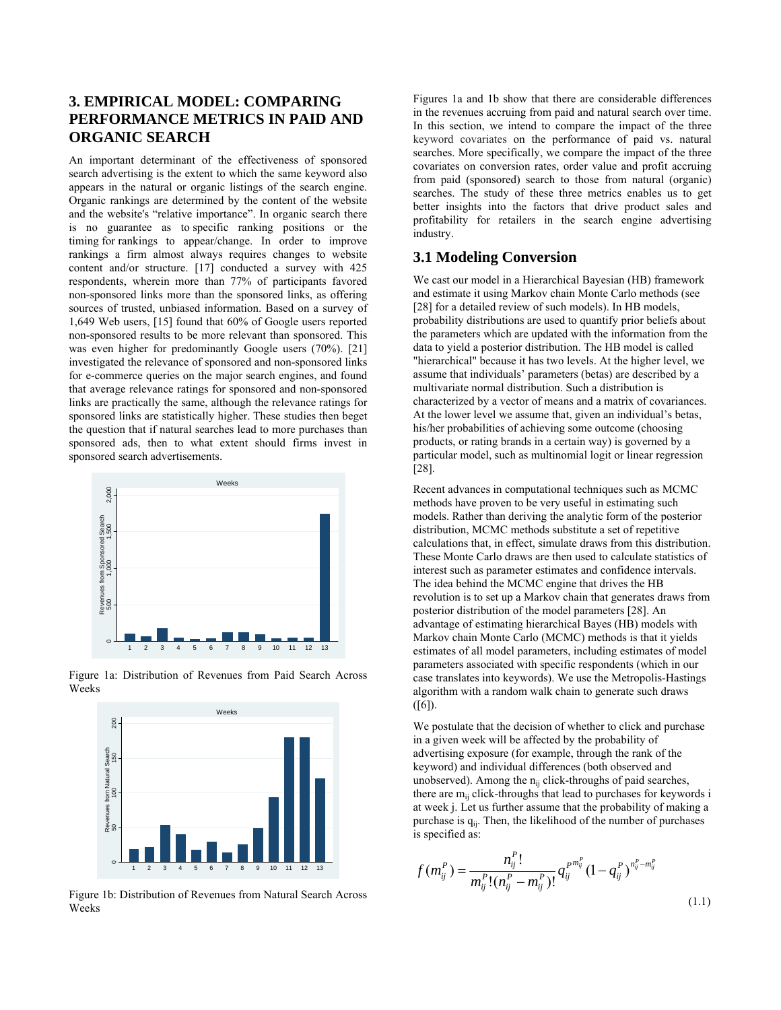# **3. EMPIRICAL MODEL: COMPARING PERFORMANCE METRICS IN PAID AND ORGANIC SEARCH**

An important determinant of the effectiveness of sponsored search advertising is the extent to which the same keyword also appears in the natural or organic listings of the search engine. Organic rankings are determined by the content of the website and the website's "relative importance". In organic search there is no guarantee as to specific ranking positions or the timing for rankings to appear/change. In order to improve rankings a firm almost always requires changes to website content and/or structure. [17] conducted a survey with 425 respondents, wherein more than 77% of participants favored non-sponsored links more than the sponsored links, as offering sources of trusted, unbiased information. Based on a survey of 1,649 Web users, [15] found that 60% of Google users reported non-sponsored results to be more relevant than sponsored. This was even higher for predominantly Google users (70%). [21] investigated the relevance of sponsored and non-sponsored links for e-commerce queries on the major search engines, and found that average relevance ratings for sponsored and non-sponsored links are practically the same, although the relevance ratings for sponsored links are statistically higher. These studies then beget the question that if natural searches lead to more purchases than sponsored ads, then to what extent should firms invest in sponsored search advertisements.



Figure 1a: Distribution of Revenues from Paid Search Across Weeks



Figure 1b: Distribution of Revenues from Natural Search Across Weeks

Figures 1a and 1b show that there are considerable differences in the revenues accruing from paid and natural search over time. In this section, we intend to compare the impact of the three keyword covariates on the performance of paid vs. natural searches. More specifically, we compare the impact of the three covariates on conversion rates, order value and profit accruing from paid (sponsored) search to those from natural (organic) searches. The study of these three metrics enables us to get better insights into the factors that drive product sales and profitability for retailers in the search engine advertising industry.

## **3.1 Modeling Conversion**

We cast our model in a Hierarchical Bayesian (HB) framework and estimate it using Markov chain Monte Carlo methods (see [28] for a detailed review of such models). In HB models, probability distributions are used to quantify prior beliefs about the parameters which are updated with the information from the data to yield a posterior distribution. The HB model is called "hierarchical" because it has two levels. At the higher level, we assume that individuals' parameters (betas) are described by a multivariate normal distribution. Such a distribution is characterized by a vector of means and a matrix of covariances. At the lower level we assume that, given an individual's betas, his/her probabilities of achieving some outcome (choosing products, or rating brands in a certain way) is governed by a particular model, such as multinomial logit or linear regression [28].

Recent advances in computational techniques such as MCMC methods have proven to be very useful in estimating such models. Rather than deriving the analytic form of the posterior distribution, MCMC methods substitute a set of repetitive calculations that, in effect, simulate draws from this distribution. These Monte Carlo draws are then used to calculate statistics of interest such as parameter estimates and confidence intervals. The idea behind the MCMC engine that drives the HB revolution is to set up a Markov chain that generates draws from posterior distribution of the model parameters [28]. An advantage of estimating hierarchical Bayes (HB) models with Markov chain Monte Carlo (MCMC) methods is that it yields estimates of all model parameters, including estimates of model parameters associated with specific respondents (which in our case translates into keywords). We use the Metropolis-Hastings algorithm with a random walk chain to generate such draws  $([6])$ .

We postulate that the decision of whether to click and purchase in a given week will be affected by the probability of advertising exposure (for example, through the rank of the keyword) and individual differences (both observed and unobserved). Among the  $n_{ii}$  click-throughs of paid searches, there are  $m_{ii}$  click-throughs that lead to purchases for keywords i at week j. Let us further assume that the probability of making a purchase is  $q<sub>ii</sub>$ . Then, the likelihood of the number of purchases is specified as:

$$
f(m_{ij}^P) = \frac{n_{ij}^P!}{m_{ij}^P!(n_{ij}^P - m_{ij}^P)!} q_{ij}^{P^{m_{ij}^P}} (1 - q_{ij}^P)^{n_{ij}^P - m_{ij}^P}
$$
\n(1.1)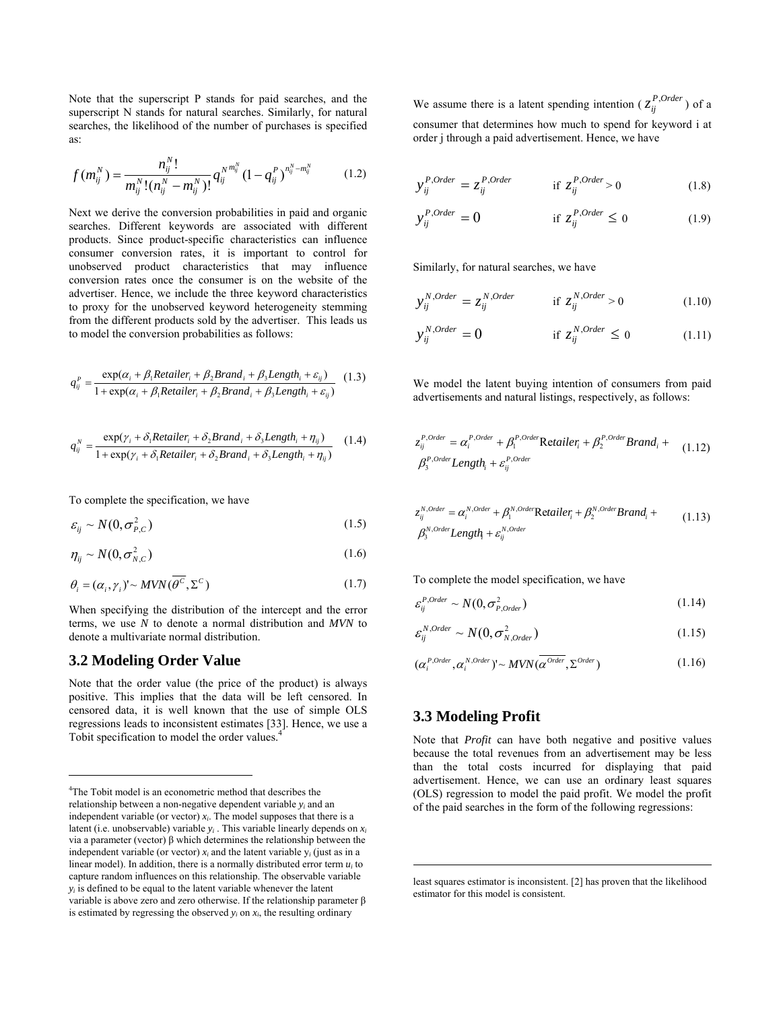Note that the superscript P stands for paid searches, and the superscript N stands for natural searches. Similarly, for natural searches, the likelihood of the number of purchases is specified as:

$$
f(m_{ij}^N) = \frac{n_{ij}^N!}{m_{ij}^N!(n_{ij}^N - m_{ij}^N)!} q_{ij}^{N^{m_{ij}^N}} (1 - q_{ij}^P)^{n_{ij}^N - m_{ij}^N}
$$
 (1.2)

Next we derive the conversion probabilities in paid and organic searches. Different keywords are associated with different products. Since product-specific characteristics can influence consumer conversion rates, it is important to control for unobserved product characteristics that may influence conversion rates once the consumer is on the website of the advertiser. Hence, we include the three keyword characteristics to proxy for the unobserved keyword heterogeneity stemming from the different products sold by the advertiser. This leads us to model the conversion probabilities as follows:

$$
q_{ij}^{P} = \frac{\exp(\alpha_i + \beta_1 Retailer_i + \beta_2Brand_i + \beta_3Length_i + \varepsilon_{ij})}{1 + \exp(\alpha_i + \beta_1Retailer_i + \beta_2Brand_i + \beta_3Length_i + \varepsilon_{ij})}
$$
(1.3)

$$
q_{ij}^N = \frac{\exp(\gamma_i + \delta_1 Retailer_i + \delta_2Brand_i + \delta_3Length_i + \eta_{ij})}{1 + \exp(\gamma_i + \delta_1Retailer_i + \delta_2 Brand_i + \delta_3Length_i + \eta_{ij})}
$$
(1.4)

To complete the specification, we have

$$
\varepsilon_{ij} \sim N(0, \sigma_{P,C}^2)
$$
 (1.5)

$$
\eta_{ij} \sim N(0, \sigma_{N,C}^2)
$$
 (1.6)

$$
\theta_i = (\alpha_i, \gamma_i)' \sim MVN(\overline{\theta^c}, \Sigma^c)
$$
\n(1.7)

When specifying the distribution of the intercept and the error terms, we use *N* to denote a normal distribution and *MVN* to denote a multivariate normal distribution.

### **3.2 Modeling Order Value**

 $\overline{a}$ 

Note that the order value (the price of the product) is always positive. This implies that the data will be left censored. In censored data, it is well known that the use of simple OLS regressions leads to inconsistent estimates [33]. Hence, we use a Tobit specification to model the order values.4

We assume there is a latent spending intention ( $z_{ij}^{P,Order}$ ) of a consumer that determines how much to spend for keyword i at order j through a paid advertisement. Hence, we have

$$
y_{ij}^{P,Order} = z_{ij}^{P,Order} \qquad \text{if } z_{ij}^{P,Order} > 0 \tag{1.8}
$$

$$
y_{ij}^{P,Order} = 0 \qquad \qquad \text{if } z_{ij}^{P,Order} \leq 0 \qquad (1.9)
$$

Similarly, for natural searches, we have

$$
y_{ij}^{N,Order} = z_{ij}^{N,Order} \qquad \text{if } z_{ij}^{N,Order} > 0 \tag{1.10}
$$

$$
y_{ij}^{N,Order} = 0 \qquad \text{if } z_{ij}^{N,Order} \le 0 \qquad (1.11)
$$

We model the latent buying intention of consumers from paid advertisements and natural listings, respectively, as follows:

$$
z_{ij}^{P,Order} = \alpha_i^{P,Order} + \beta_1^{P,Order} \text{Retailer}_i + \beta_2^{P,Order} \text{Brand}_i +
$$
  

$$
\beta_3^{P,Order} \text{Length}_i + \varepsilon_i^{P,Order}
$$
 (1.12)

$$
z_{ij}^{N,Order} = \alpha_i^{N,Order} + \beta_1^{N,Order} \text{Retailer}_i + \beta_2^{N,Order} \text{Brand}_i +
$$
  
\n
$$
\beta_3^{N,Order} \text{Length}_i + \varepsilon_{ij}^{N,Order}
$$
\n(1.13)

To complete the model specification, we have

$$
\varepsilon_{ij}^{P,Order} \sim N(0, \sigma_{P,Order}^2)
$$
\n(1.14)

$$
\varepsilon_{ij}^{N,Order} \sim N(0, \sigma_{N,Order}^2)
$$
 (1.15)

$$
(\alpha_i^{P,Order}, \alpha_i^{N,Order}) \sim MVN(\overline{\alpha^{Order}}, \Sigma^{Order})
$$
\n(1.16)

### **3.3 Modeling Profit**

 $\overline{a}$ 

Note that *Profit* can have both negative and positive values because the total revenues from an advertisement may be less than the total costs incurred for displaying that paid advertisement. Hence, we can use an ordinary least squares (OLS) regression to model the paid profit. We model the profit of the paid searches in the form of the following regressions:

<sup>&</sup>lt;sup>4</sup>The Tobit model is an econometric method that describes the relationship between a non-negative dependent variable *yi* and an independent variable (or vector)  $x_i$ . The model supposes that there is a latent (i.e. unobservable) variable  $y_i$ . This variable linearly depends on  $x_i$ via a parameter (vector) β which determines the relationship between the independent variable (or vector)  $x_i$  and the latent variable  $y_i$  (just as in a linear model). In addition, there is a normally distributed error term  $u_i$  to capture random influences on this relationship. The observable variable  $y_i$  is defined to be equal to the latent variable whenever the latent variable is above zero and zero otherwise. If the relationship parameter β is estimated by regressing the observed  $y_i$  on  $x_i$ , the resulting ordinary

least squares estimator is inconsistent. [2] has proven that the likelihood estimator for this model is consistent.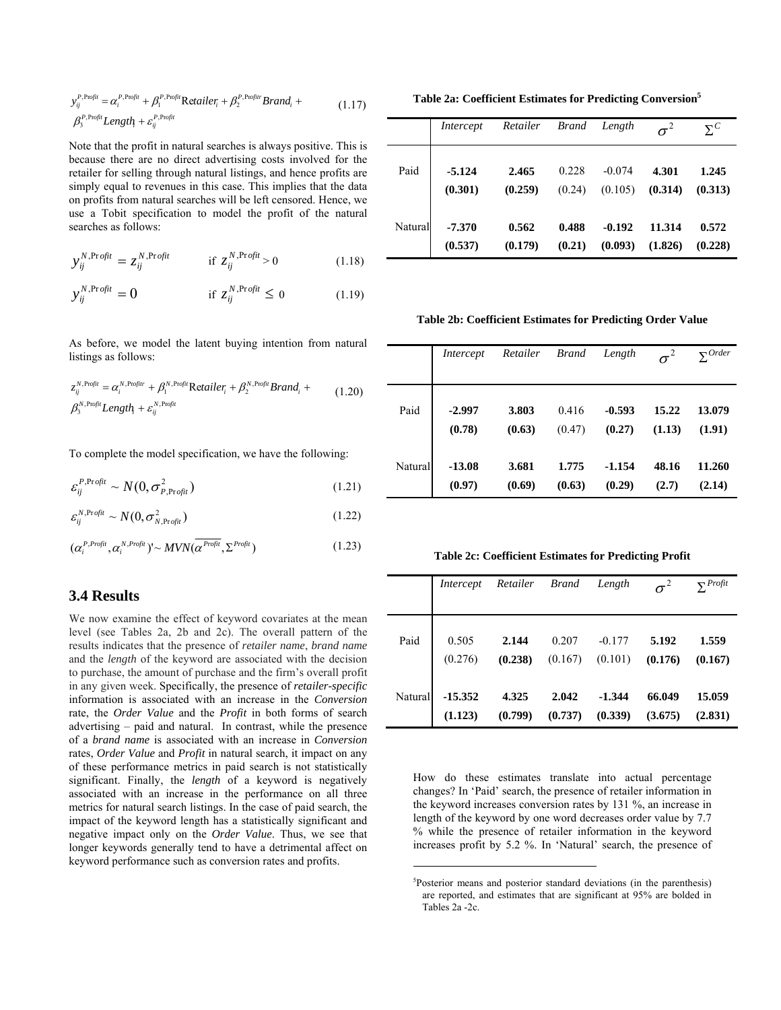$$
y_j^{P, \text{Popit}} = \alpha_i^{P, \text{Projit}} + \beta_1^{P, \text{Projit}} \text{Retailer}_i + \beta_2^{P, \text{Popit}} \text{Brand}_i +
$$
  

$$
\beta_3^{P, \text{Popit}} \text{Length}_i + \varepsilon_j^{P, \text{Propit}}
$$
 (1.17)

Note that the profit in natural searches is always positive. This is because there are no direct advertising costs involved for the retailer for selling through natural listings, and hence profits are simply equal to revenues in this case. This implies that the data on profits from natural searches will be left censored. Hence, we use a Tobit specification to model the profit of the natural searches as follows:

$$
y_{ij}^{N, \text{Pr}} \circ \text{fit} = z_{ij}^{N, \text{Pr}} \circ \text{fit} \quad \text{if } z_{ij}^{N, \text{Pr}} \circ \text{fit} > 0 \tag{1.18}
$$

$$
y_{ij}^{N, \text{Pr}} \sigma^{fit} = 0 \qquad \text{if } z_{ij}^{N, \text{Pr}} \sigma^{fit} \le 0 \qquad (1.19)
$$

As before, we model the latent buying intention from natural listings as follows:

$$
z_{ij}^{N, \text{Proj} i} = \alpha_i^{N, \text{Proj} i} + \beta_1^{N, \text{Proj} i} \text{Retailer}_i + \beta_2^{N, \text{Proj} i} \text{Brand}_i +
$$
  

$$
\beta_3^{N, \text{Proj} i} \text{Length}_i + \varepsilon_{ij}^{N, \text{Proj} i}
$$
 (1.20)

To complete the model specification, we have the following:

$$
\varepsilon_{ij}^{P,\text{Profit}} \sim N(0, \sigma_{P,\text{Profit}}^2)
$$
\n(1.21)

$$
\varepsilon_{ij}^{N, \text{Pr}} \sigma^{fit} \sim N(0, \sigma_{N, \text{Pr}}^2)
$$
\n(1.22)

$$
(\alpha_i^{P,Projit}, \alpha_i^{N,Projit}) \sim MVN(\overline{\alpha^{Projit}}, \Sigma^{Projit})
$$
 (1.23)

# **3.4 Results**

We now examine the effect of keyword covariates at the mean level (see Tables 2a, 2b and 2c). The overall pattern of the results indicates that the presence of *retailer name*, *brand name* and the *length* of the keyword are associated with the decision to purchase, the amount of purchase and the firm's overall profit in any given week. Specifically, the presence of *retailer-specific* information is associated with an increase in the *Conversion* rate, the *Order Value* and the *Profit* in both forms of search advertising – paid and natural. In contrast, while the presence of a *brand name* is associated with an increase in *Conversion* rates, *Order Value* and *Profit* in natural search, it impact on any of these performance metrics in paid search is not statistically significant. Finally, the *length* of a keyword is negatively associated with an increase in the performance on all three metrics for natural search listings. In the case of paid search, the impact of the keyword length has a statistically significant and negative impact only on the *Order Value*. Thus, we see that longer keywords generally tend to have a detrimental affect on keyword performance such as conversion rates and profits.

**Table 2a: Coefficient Estimates for Predicting Conversion5**

|         | Intercept | Retailer |        | Brand Length |         | $\Sigma^C$ |
|---------|-----------|----------|--------|--------------|---------|------------|
| Paid    | $-5.124$  | 2.465    | 0.228  | $-0.074$     | 4.301   | 1.245      |
|         | (0.301)   | (0.259)  | (0.24) | (0.105)      | (0.314) | (0.313)    |
| Natural | $-7.370$  | 0.562    | 0.488  | $-0.192$     | 11.314  | 0.572      |
|         | (0.537)   | (0.179)  | (0.21) | (0.093)      | (1.826) | (0.228)    |

**Table 2b: Coefficient Estimates for Predicting Order Value** 

|         | Intercept | Retailer Brand |        | Length   | $\sigma^2$ | $\Sigma^{Order}$ |
|---------|-----------|----------------|--------|----------|------------|------------------|
| Paid    | $-2.997$  | 3.803          | 0.416  | $-0.593$ | 15.22      | 13.079           |
|         | (0.78)    | (0.63)         | (0.47) | (0.27)   | (1.13)     | (1.91)           |
| Natural | $-13.08$  | 3.681          | 1.775  | $-1.154$ | 48.16      | 11.260           |
|         | (0.97)    | (0.69)         | (0.63) | (0.29)   | (2.7)      | (2.14)           |

**Table 2c: Coefficient Estimates for Predicting Profit** 

|         |                      | Intercept Retailer Brand Length $\sigma^2$ |       |                                                     |                   | $\Sigma^{Profit}$ |
|---------|----------------------|--------------------------------------------|-------|-----------------------------------------------------|-------------------|-------------------|
| Paid    | 0.505<br>(0.276)     | 2.144                                      | 0.207 | $-0.177$<br>$(0.238)$ $(0.167)$ $(0.101)$ $(0.176)$ | 5.192             | 1.559<br>(0.167)  |
| Natural | $-15.352$<br>(1.123) | 4.325<br>(0.799)                           | 2.042 | $-1.344$<br>$(0.737)$ $(0.339)$                     | 66.049<br>(3.675) | 15.059<br>(2.831) |

How do these estimates translate into actual percentage changes? In 'Paid' search, the presence of retailer information in the keyword increases conversion rates by 131 %, an increase in length of the keyword by one word decreases order value by 7.7 % while the presence of retailer information in the keyword increases profit by 5.2 %. In 'Natural' search, the presence of

 $\overline{a}$ 

<sup>5</sup> Posterior means and posterior standard deviations (in the parenthesis) are reported, and estimates that are significant at 95% are bolded in Tables 2a -2c.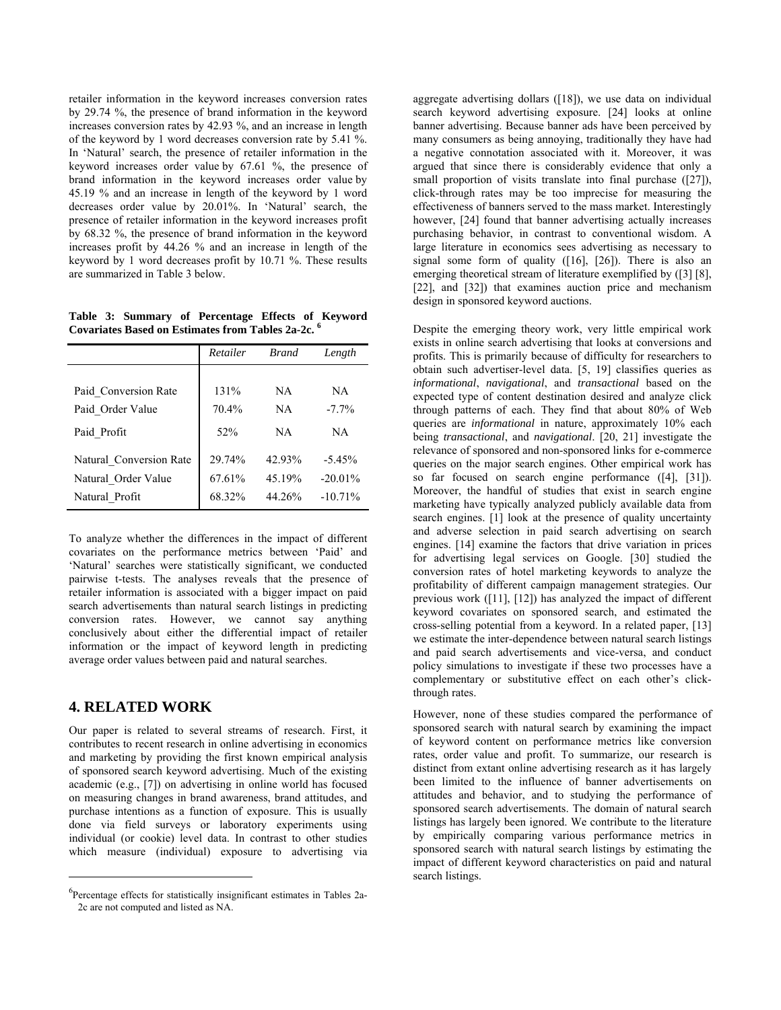retailer information in the keyword increases conversion rates by 29.74 %, the presence of brand information in the keyword increases conversion rates by 42.93 %, and an increase in length of the keyword by 1 word decreases conversion rate by 5.41 %. In 'Natural' search, the presence of retailer information in the keyword increases order value by 67.61 %, the presence of brand information in the keyword increases order value by 45.19 % and an increase in length of the keyword by 1 word decreases order value by 20.01%. In 'Natural' search, the presence of retailer information in the keyword increases profit by 68.32 %, the presence of brand information in the keyword increases profit by 44.26 % and an increase in length of the keyword by 1 word decreases profit by 10.71 %. These results are summarized in Table 3 below.

**Table 3: Summary of Percentage Effects of Keyword Covariates Based on Estimates from Tables 2a-2c. 6**

|                         | Retailer | <b>Brand</b> | Length     |
|-------------------------|----------|--------------|------------|
|                         |          |              |            |
| Paid Conversion Rate    | 131%     | NΑ           | NΑ         |
| Paid Order Value        | 70.4%    | <b>NA</b>    | $-7.7\%$   |
| Paid Profit             | 52%      | NA           | NA.        |
| Natural Conversion Rate | 29 74%   | 42.93%       | $-5.45\%$  |
| Natural Order Value     | 67.61%   | 45.19%       | $-20.01\%$ |
| Natural Profit          | 68.32%   | 44 26%       | $-10.71\%$ |

To analyze whether the differences in the impact of different covariates on the performance metrics between 'Paid' and 'Natural' searches were statistically significant, we conducted pairwise t-tests. The analyses reveals that the presence of retailer information is associated with a bigger impact on paid search advertisements than natural search listings in predicting conversion rates. However, we cannot say anything conclusively about either the differential impact of retailer information or the impact of keyword length in predicting average order values between paid and natural searches.

### **4. RELATED WORK**

 $\overline{a}$ 

Our paper is related to several streams of research. First, it contributes to recent research in online advertising in economics and marketing by providing the first known empirical analysis of sponsored search keyword advertising. Much of the existing academic (e.g., [7]) on advertising in online world has focused on measuring changes in brand awareness, brand attitudes, and purchase intentions as a function of exposure. This is usually done via field surveys or laboratory experiments using individual (or cookie) level data. In contrast to other studies which measure (individual) exposure to advertising via

aggregate advertising dollars ([18]), we use data on individual search keyword advertising exposure. [24] looks at online banner advertising. Because banner ads have been perceived by many consumers as being annoying, traditionally they have had a negative connotation associated with it. Moreover, it was argued that since there is considerably evidence that only a small proportion of visits translate into final purchase ([27]), click-through rates may be too imprecise for measuring the effectiveness of banners served to the mass market. Interestingly however, [24] found that banner advertising actually increases purchasing behavior, in contrast to conventional wisdom. A large literature in economics sees advertising as necessary to signal some form of quality ([16], [26]). There is also an emerging theoretical stream of literature exemplified by ([3] [8], [22], and [32]) that examines auction price and mechanism design in sponsored keyword auctions.

Despite the emerging theory work, very little empirical work exists in online search advertising that looks at conversions and profits. This is primarily because of difficulty for researchers to obtain such advertiser-level data. [5, 19] classifies queries as *informational*, *navigational*, and *transactional* based on the expected type of content destination desired and analyze click through patterns of each. They find that about 80% of Web queries are *informational* in nature, approximately 10% each being *transactional*, and *navigational*. [20, 21] investigate the relevance of sponsored and non-sponsored links for e-commerce queries on the major search engines. Other empirical work has so far focused on search engine performance ([4], [31]). Moreover, the handful of studies that exist in search engine marketing have typically analyzed publicly available data from search engines. [1] look at the presence of quality uncertainty and adverse selection in paid search advertising on search engines. [14] examine the factors that drive variation in prices for advertising legal services on Google. [30] studied the conversion rates of hotel marketing keywords to analyze the profitability of different campaign management strategies. Our previous work ([11], [12]) has analyzed the impact of different keyword covariates on sponsored search, and estimated the cross-selling potential from a keyword. In a related paper, [13] we estimate the inter-dependence between natural search listings and paid search advertisements and vice-versa, and conduct policy simulations to investigate if these two processes have a complementary or substitutive effect on each other's clickthrough rates.

However, none of these studies compared the performance of sponsored search with natural search by examining the impact of keyword content on performance metrics like conversion rates, order value and profit. To summarize, our research is distinct from extant online advertising research as it has largely been limited to the influence of banner advertisements on attitudes and behavior, and to studying the performance of sponsored search advertisements. The domain of natural search listings has largely been ignored. We contribute to the literature by empirically comparing various performance metrics in sponsored search with natural search listings by estimating the impact of different keyword characteristics on paid and natural search listings.

<sup>&</sup>lt;sup>6</sup>Percentage effects for statistically insignificant estimates in Tables 2a-2c are not computed and listed as NA.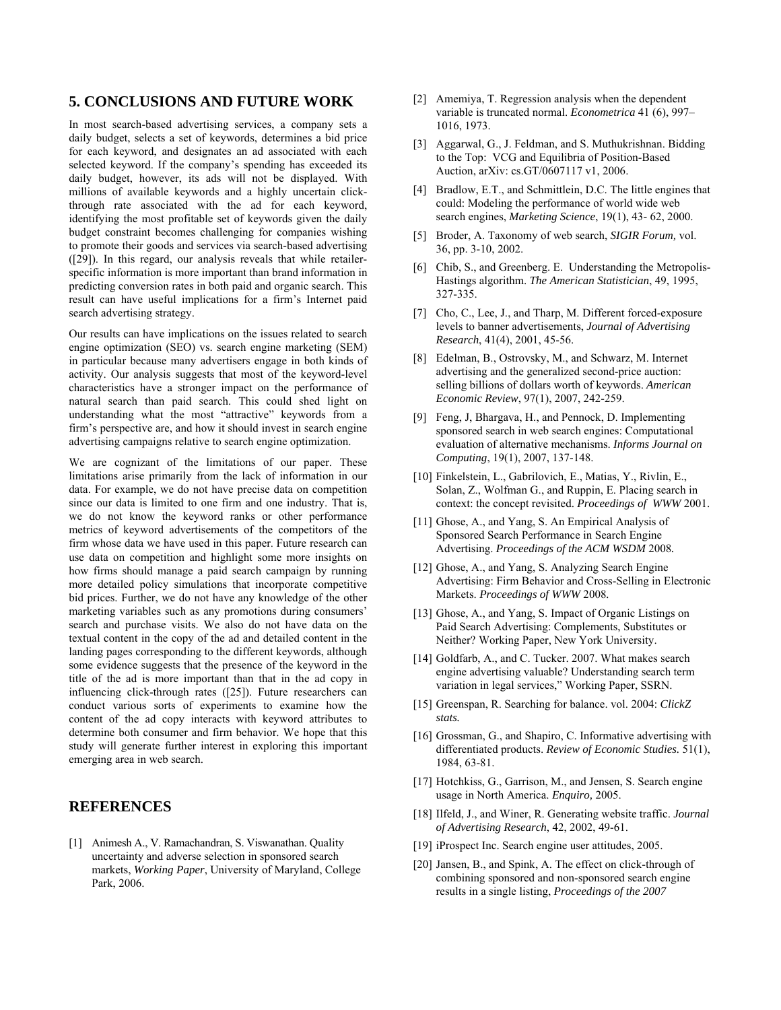## **5. CONCLUSIONS AND FUTURE WORK**

In most search-based advertising services, a company sets a daily budget, selects a set of keywords, determines a bid price for each keyword, and designates an ad associated with each selected keyword. If the company's spending has exceeded its daily budget, however, its ads will not be displayed. With millions of available keywords and a highly uncertain clickthrough rate associated with the ad for each keyword, identifying the most profitable set of keywords given the daily budget constraint becomes challenging for companies wishing to promote their goods and services via search-based advertising ([29]). In this regard, our analysis reveals that while retailerspecific information is more important than brand information in predicting conversion rates in both paid and organic search. This result can have useful implications for a firm's Internet paid search advertising strategy.

Our results can have implications on the issues related to search engine optimization (SEO) vs. search engine marketing (SEM) in particular because many advertisers engage in both kinds of activity. Our analysis suggests that most of the keyword-level characteristics have a stronger impact on the performance of natural search than paid search. This could shed light on understanding what the most "attractive" keywords from a firm's perspective are, and how it should invest in search engine advertising campaigns relative to search engine optimization.

We are cognizant of the limitations of our paper. These limitations arise primarily from the lack of information in our data. For example, we do not have precise data on competition since our data is limited to one firm and one industry. That is, we do not know the keyword ranks or other performance metrics of keyword advertisements of the competitors of the firm whose data we have used in this paper. Future research can use data on competition and highlight some more insights on how firms should manage a paid search campaign by running more detailed policy simulations that incorporate competitive bid prices. Further, we do not have any knowledge of the other marketing variables such as any promotions during consumers' search and purchase visits. We also do not have data on the textual content in the copy of the ad and detailed content in the landing pages corresponding to the different keywords, although some evidence suggests that the presence of the keyword in the title of the ad is more important than that in the ad copy in influencing click-through rates ([25]). Future researchers can conduct various sorts of experiments to examine how the content of the ad copy interacts with keyword attributes to determine both consumer and firm behavior. We hope that this study will generate further interest in exploring this important emerging area in web search.

# **REFERENCES**

[1] Animesh A., V. Ramachandran, S. Viswanathan. Quality uncertainty and adverse selection in sponsored search markets, *Working Paper*, University of Maryland, College Park, 2006.

- [2] Amemiya, T. Regression analysis when the dependent variable is truncated normal. *Econometrica* 41 (6), 997– 1016, 1973.
- [3] Aggarwal, G., J. Feldman, and S. Muthukrishnan. Bidding to the Top: VCG and Equilibria of Position-Based Auction, arXiv: cs.GT/0607117 v1, 2006.
- [4] Bradlow, E.T., and Schmittlein, D.C. The little engines that could: Modeling the performance of world wide web search engines, *Marketing Science*, 19(1), 43- 62, 2000.
- [5] Broder, A. Taxonomy of web search, *SIGIR Forum,* vol. 36, pp. 3-10, 2002.
- [6] Chib, S., and Greenberg. E. Understanding the Metropolis-Hastings algorithm. *The American Statistician*, 49, 1995, 327-335.
- [7] Cho, C., Lee, J., and Tharp, M. Different forced-exposure levels to banner advertisements, *Journal of Advertising Research*, 41(4), 2001, 45-56.
- [8] Edelman, B., Ostrovsky, M., and Schwarz, M. Internet advertising and the generalized second-price auction: selling billions of dollars worth of keywords. *American Economic Review*, 97(1), 2007, 242-259.
- [9] Feng, J, Bhargava, H., and Pennock, D. Implementing sponsored search in web search engines: Computational evaluation of alternative mechanisms. *Informs Journal on Computing*, 19(1), 2007, 137-148.
- [10] Finkelstein, L., Gabrilovich, E., Matias, Y., Rivlin, E., Solan, Z., Wolfman G., and Ruppin, E. Placing search in context: the concept revisited. *Proceedings of WWW* 2001.
- [11] Ghose, A., and Yang, S. An Empirical Analysis of Sponsored Search Performance in Search Engine Advertising. *Proceedings of the ACM WSDM* 2008*.*
- [12] Ghose, A., and Yang, S. Analyzing Search Engine Advertising: Firm Behavior and Cross-Selling in Electronic Markets. *Proceedings of WWW* 2008*.*
- [13] Ghose, A., and Yang, S. Impact of Organic Listings on Paid Search Advertising: Complements, Substitutes or Neither? Working Paper, New York University.
- [14] Goldfarb, A., and C. Tucker. 2007. What makes search engine advertising valuable? Understanding search term variation in legal services," Working Paper, SSRN.
- [15] Greenspan, R. Searching for balance. vol. 2004: *ClickZ stats.*
- [16] Grossman, G., and Shapiro, C. Informative advertising with differentiated products. *Review of Economic Studies.* 51(1), 1984, 63-81.
- [17] Hotchkiss, G., Garrison, M., and Jensen, S. Search engine usage in North America. *Enquiro,* 2005.
- [18] Ilfeld, J., and Winer, R. Generating website traffic. *Journal of Advertising Research*, 42, 2002, 49-61.
- [19] iProspect Inc. Search engine user attitudes, 2005.
- [20] Jansen, B., and Spink, A. The effect on click-through of combining sponsored and non-sponsored search engine results in a single listing, *Proceedings of the 2007*